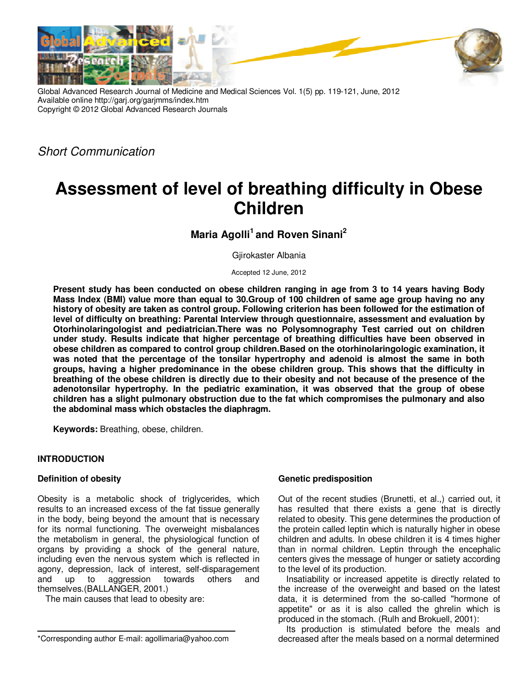

Global Advanced Research Journal of Medicine and Medical Sciences Vol. 1(5) pp. 119-121, June, 2012 Available online http://garj.org/garjmms/index.htm Copyright © 2012 Global Advanced Research Journals

Short Communication

# **Assessment of level of breathing difficulty in Obese Children**

**Maria Agolli<sup>1</sup>and Roven Sinani<sup>2</sup>**

Gjirokaster Albania

Accepted 12 June, 2012

**Present study has been conducted on obese children ranging in age from 3 to 14 years having Body Mass Index (BMI) value more than equal to 30.Group of 100 children of same age group having no any history of obesity are taken as control group. Following criterion has been followed for the estimation of level of difficulty on breathing: Parental Interview through questionnaire, assessment and evaluation by Otorhinolaringologist and pediatrician.There was no Polysomnography Test carried out on children under study. Results indicate that higher percentage of breathing difficulties have been observed in obese children as compared to control group children.Based on the otorhinolaringologic examination, it was noted that the percentage of the tonsilar hypertrophy and adenoid is almost the same in both groups, having a higher predominance in the obese children group. This shows that the difficulty in breathing of the obese children is directly due to their obesity and not because of the presence of the adenotonsilar hypertrophy. In the pediatric examination, it was observed that the group of obese children has a slight pulmonary obstruction due to the fat which compromises the pulmonary and also the abdominal mass which obstacles the diaphragm.** 

**Keywords:** Breathing, obese, children.

# **INTRODUCTION**

### **Definition of obesity**

Obesity is a metabolic shock of triglycerides, which results to an increased excess of the fat tissue generally in the body, being beyond the amount that is necessary for its normal functioning. The overweight misbalances the metabolism in general, the physiological function of organs by providing a shock of the general nature, including even the nervous system which is reflected in agony, depression, lack of interest, self-disparagement and up to aggression towards others and themselves.(BALLANGER, 2001.)

The main causes that lead to obesity are:

### **Genetic predisposition**

Out of the recent studies (Brunetti, et al.,) carried out, it has resulted that there exists a gene that is directly related to obesity. This gene determines the production of the protein called leptin which is naturally higher in obese children and adults. In obese children it is 4 times higher than in normal children. Leptin through the encephalic centers gives the message of hunger or satiety according to the level of its production.

Insatiability or increased appetite is directly related to the increase of the overweight and based on the latest data, it is determined from the so-called "hormone of appetite" or as it is also called the ghrelin which is produced in the stomach. (Rulh and Brokuell, 2001):

Its production is stimulated before the meals and decreased after the meals based on a normal determined

<sup>\*</sup>Corresponding author E-mail: agollimaria@yahoo.com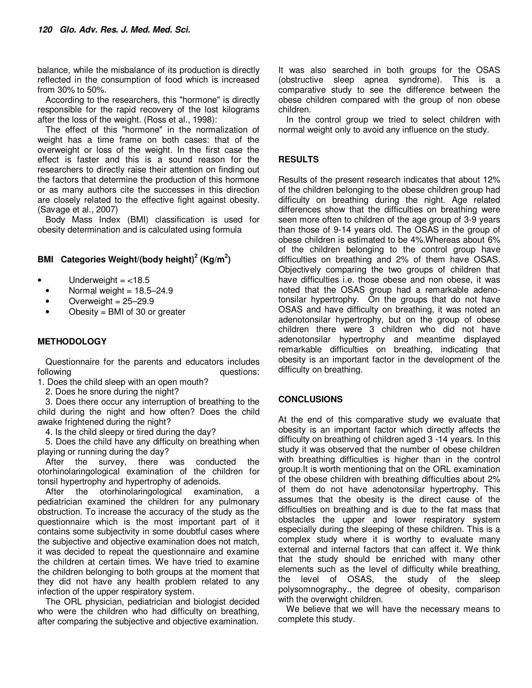balance, while the misbalance of its production is directly reflected in the consumption of food which is increased from 30% to 50%.

According to the researchers, this "hormone" is directly responsible for the rapid recovery of the lost kilograms after the loss of the weight. (Ross et al., 1998):

The effect of this "hormone" in the normalization of weight has a time frame on both cases: that of the overweight or loss of the weight. In the first case the effect is faster and this is a sound reason for the researchers to directly raise their attention on finding out the factors that determine the production of this hormone or as many authors cite the successes in this direction are closely related to the effective fight against obesity. (Savage et al., 2007)

Body Mass Index (BMI) classification is used for obesity determination and is calculated using formula

# **BMI Categories Weight/(body height)<sup>2</sup> (Kg/m<sup>2</sup> )**

- Underweight  $=$  <18.5
- Normal weight  $= 18.5 24.9$
- Overweight  $= 25 29.9$
- Obesity  $=$  BMI of 30 or greater

# **METHODOLOGY**

Questionnaire for the parents and educators includes<br>following<br>guestions: questions:

1. Does the child sleep with an open mouth?

2. Does he snore during the night?

3. Does there occur any interruption of breathing to the child during the night and how often? Does the child awake frightened during the night?

4. Is the child sleepy or tired during the day?

5. Does the child have any difficulty on breathing when playing or running during the day?

After the survey, there was conducted the otorhinolaringological examination of the children for tonsil hypertrophy and hypertrophy of adenoids.

the otorhinolaringological examination, a pediatrician examined the children for any pulmonary obstruction. To increase the accuracy of the study as the questionnaire which is the most important part of it contains some subjectivity in some doubtful cases where the subjective and objective examination does not match, it was decided to repeat the questionnaire and examine the children at certain times. We have tried to examine the children belonging to both groups at the moment that they did not have any health problem related to any infection of the upper respiratory system.

The ORL physician, pediatrician and biologist decided who were the children who had difficulty on breathing, after comparing the subjective and objective examination.

It was also searched in both groups for the OSAS (obstructive sleep apnea syndrome). This is a comparative study to see the difference between the obese children compared with the group of non obese children.

In the control group we tried to select children with normal weight only to avoid any influence on the study.

## **RESULTS**

Results of the present research indicates that about 12% of the children belonging to the obese children group had difficulty on breathing during the night. Age related differences show that the difficulties on breathing were seen more often to children of the age group of 3-9 years than those of 9-14 years old. The OSAS in the group of obese children is estimated to be 4%.Whereas about 6% of the children belonging to the control group have difficulties on breathing and 2% of them have OSAS. Objectively comparing the two groups of children that have difficulties i.e. those obese and non obese, it was noted that the OSAS group had a remarkable adenotonsilar hypertrophy. On the groups that do not have OSAS and have difficulty on breathing, it was noted an adenotonsilar hypertrophy, but on the group of obese children there were 3 children who did not have adenotonsilar hypertrophy and meantime displayed remarkable difficulties on breathing, indicating that obesity is an important factor in the development of the difficulty on breathing.

### **CONCLUSIONS**

At the end of this comparative study we evaluate that obesity is an important factor which directly affects the difficulty on breathing of children aged 3 -14 years. In this study it was observed that the number of obese children with breathing difficulties is higher than in the control group.It is worth mentioning that on the ORL examination of the obese children with breathing difficulties about 2% of them do not have adenotonsilar hypertrophy. This assumes that the obesity is the direct cause of the difficulties on breathing and is due to the fat mass that obstacles the upper and lower respiratory system especially during the sleeping of these children. This is a complex study where it is worthy to evaluate many external and internal factors that can affect it. We think that the study should be enriched with many other elements such as the level of difficulty while breathing, the level of OSAS, the study of the sleep polysomnography., the degree of obesity, comparison with the overwight children.

We believe that we will have the necessary means to complete this study.